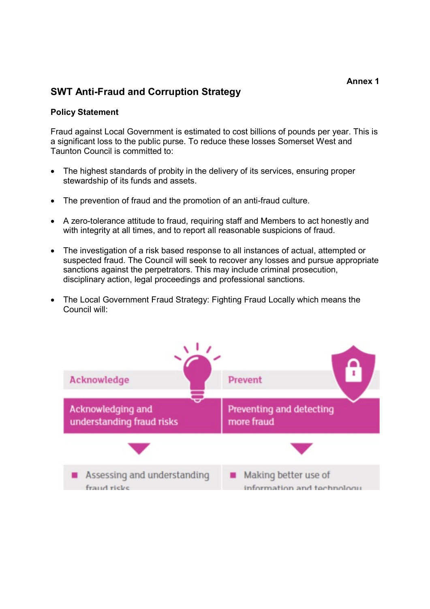# SWT Anti-Fraud and Corruption Strategy

### Policy Statement

Fraud against Local Government is estimated to cost billions of pounds per year. This is a significant loss to the public purse. To reduce these losses Somerset West and Taunton Council is committed to:

- The highest standards of probity in the delivery of its services, ensuring proper stewardship of its funds and assets.
- The prevention of fraud and the promotion of an anti-fraud culture.
- A zero-tolerance attitude to fraud, requiring staff and Members to act honestly and with integrity at all times, and to report all reasonable suspicions of fraud.
- The investigation of a risk based response to all instances of actual, attempted or suspected fraud. The Council will seek to recover any losses and pursue appropriate sanctions against the perpetrators. This may include criminal prosecution, disciplinary action, legal proceedings and professional sanctions.
- The Local Government Fraud Strategy: Fighting Fraud Locally which means the Council will:

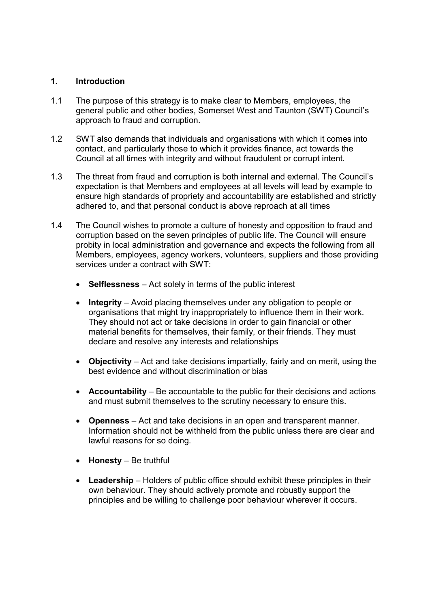# 1. Introduction

- 1.1 The purpose of this strategy is to make clear to Members, employees, the general public and other bodies, Somerset West and Taunton (SWT) Council's approach to fraud and corruption.
- 1.2 SWT also demands that individuals and organisations with which it comes into contact, and particularly those to which it provides finance, act towards the Council at all times with integrity and without fraudulent or corrupt intent.
- 1.3 The threat from fraud and corruption is both internal and external. The Council's expectation is that Members and employees at all levels will lead by example to ensure high standards of propriety and accountability are established and strictly adhered to, and that personal conduct is above reproach at all times
- 1.4 The Council wishes to promote a culture of honesty and opposition to fraud and corruption based on the seven principles of public life. The Council will ensure probity in local administration and governance and expects the following from all Members, employees, agency workers, volunteers, suppliers and those providing services under a contract with SWT:
	- Selflessness Act solely in terms of the public interest
	- Integrity Avoid placing themselves under any obligation to people or organisations that might try inappropriately to influence them in their work. They should not act or take decisions in order to gain financial or other material benefits for themselves, their family, or their friends. They must declare and resolve any interests and relationships
	- Objectivity Act and take decisions impartially, fairly and on merit, using the best evidence and without discrimination or bias
	- Accountability Be accountable to the public for their decisions and actions and must submit themselves to the scrutiny necessary to ensure this.
	- Openness Act and take decisions in an open and transparent manner. Information should not be withheld from the public unless there are clear and lawful reasons for so doing.
	- $\bullet$  Honesty Be truthful
	- Leadership Holders of public office should exhibit these principles in their own behaviour. They should actively promote and robustly support the principles and be willing to challenge poor behaviour wherever it occurs.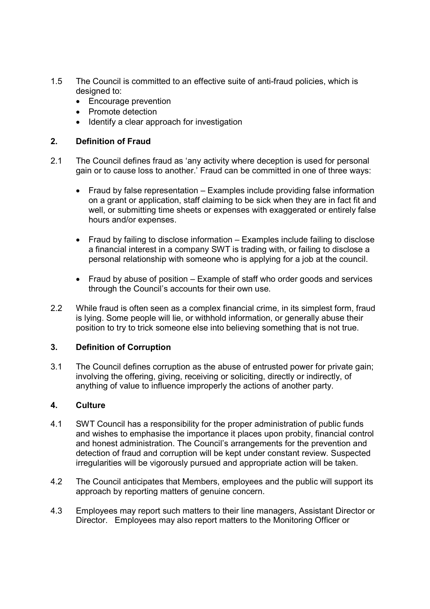- 1.5 The Council is committed to an effective suite of anti-fraud policies, which is designed to:
	- Encourage prevention
	- Promote detection
	- Identify a clear approach for investigation

# 2. Definition of Fraud

- 2.1 The Council defines fraud as 'any activity where deception is used for personal gain or to cause loss to another.' Fraud can be committed in one of three ways:
	- Fraud by false representation Examples include providing false information on a grant or application, staff claiming to be sick when they are in fact fit and well, or submitting time sheets or expenses with exaggerated or entirely false hours and/or expenses.
	- Fraud by failing to disclose information Examples include failing to disclose a financial interest in a company SWT is trading with, or failing to disclose a personal relationship with someone who is applying for a job at the council.
	- Fraud by abuse of position Example of staff who order goods and services through the Council's accounts for their own use.
- 2.2 While fraud is often seen as a complex financial crime, in its simplest form, fraud is lying. Some people will lie, or withhold information, or generally abuse their position to try to trick someone else into believing something that is not true.

# 3. Definition of Corruption

3.1 The Council defines corruption as the abuse of entrusted power for private gain; involving the offering, giving, receiving or soliciting, directly or indirectly, of anything of value to influence improperly the actions of another party.

# 4. Culture

- 4.1 SWT Council has a responsibility for the proper administration of public funds and wishes to emphasise the importance it places upon probity, financial control and honest administration. The Council's arrangements for the prevention and detection of fraud and corruption will be kept under constant review. Suspected irregularities will be vigorously pursued and appropriate action will be taken.
- 4.2 The Council anticipates that Members, employees and the public will support its approach by reporting matters of genuine concern.
- 4.3 Employees may report such matters to their line managers, Assistant Director or Director. Employees may also report matters to the Monitoring Officer or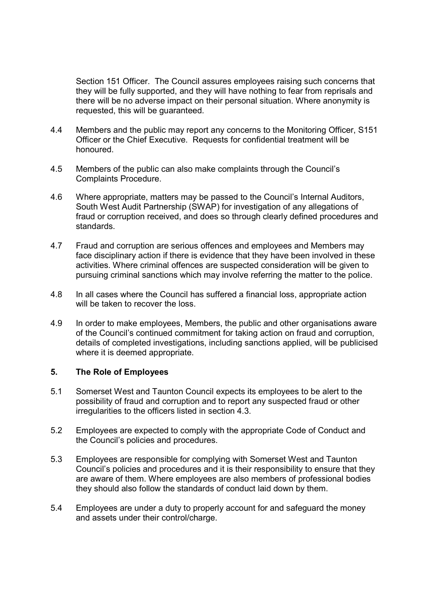Section 151 Officer. The Council assures employees raising such concerns that they will be fully supported, and they will have nothing to fear from reprisals and there will be no adverse impact on their personal situation. Where anonymity is requested, this will be guaranteed.

- 4.4 Members and the public may report any concerns to the Monitoring Officer, S151 Officer or the Chief Executive. Requests for confidential treatment will be honoured.
- 4.5 Members of the public can also make complaints through the Council's Complaints Procedure.
- 4.6 Where appropriate, matters may be passed to the Council's Internal Auditors, South West Audit Partnership (SWAP) for investigation of any allegations of fraud or corruption received, and does so through clearly defined procedures and standards.
- 4.7 Fraud and corruption are serious offences and employees and Members may face disciplinary action if there is evidence that they have been involved in these activities. Where criminal offences are suspected consideration will be given to pursuing criminal sanctions which may involve referring the matter to the police.
- 4.8 In all cases where the Council has suffered a financial loss, appropriate action will be taken to recover the loss.
- 4.9 In order to make employees, Members, the public and other organisations aware of the Council's continued commitment for taking action on fraud and corruption, details of completed investigations, including sanctions applied, will be publicised where it is deemed appropriate.

#### 5. The Role of Employees

- 5.1 Somerset West and Taunton Council expects its employees to be alert to the possibility of fraud and corruption and to report any suspected fraud or other irregularities to the officers listed in section 4.3.
- 5.2 Employees are expected to comply with the appropriate Code of Conduct and the Council's policies and procedures.
- 5.3 Employees are responsible for complying with Somerset West and Taunton Council's policies and procedures and it is their responsibility to ensure that they are aware of them. Where employees are also members of professional bodies they should also follow the standards of conduct laid down by them.
- 5.4 Employees are under a duty to properly account for and safeguard the money and assets under their control/charge.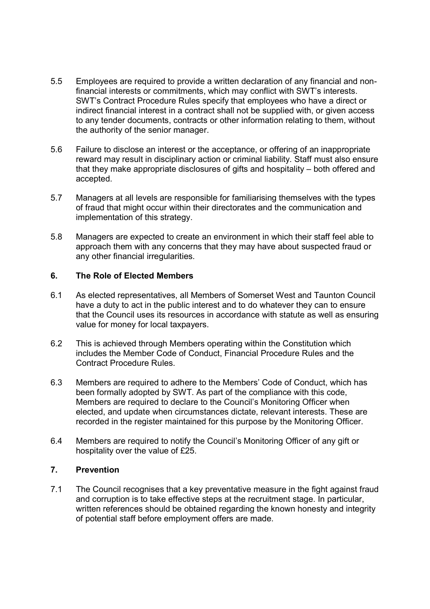- 5.5 Employees are required to provide a written declaration of any financial and nonfinancial interests or commitments, which may conflict with SWT's interests. SWT's Contract Procedure Rules specify that employees who have a direct or indirect financial interest in a contract shall not be supplied with, or given access to any tender documents, contracts or other information relating to them, without the authority of the senior manager.
- 5.6 Failure to disclose an interest or the acceptance, or offering of an inappropriate reward may result in disciplinary action or criminal liability. Staff must also ensure that they make appropriate disclosures of gifts and hospitality – both offered and accepted.
- 5.7 Managers at all levels are responsible for familiarising themselves with the types of fraud that might occur within their directorates and the communication and implementation of this strategy.
- 5.8 Managers are expected to create an environment in which their staff feel able to approach them with any concerns that they may have about suspected fraud or any other financial irregularities.

### 6. The Role of Elected Members

- 6.1 As elected representatives, all Members of Somerset West and Taunton Council have a duty to act in the public interest and to do whatever they can to ensure that the Council uses its resources in accordance with statute as well as ensuring value for money for local taxpayers.
- 6.2 This is achieved through Members operating within the Constitution which includes the Member Code of Conduct, Financial Procedure Rules and the Contract Procedure Rules.
- 6.3 Members are required to adhere to the Members' Code of Conduct, which has been formally adopted by SWT. As part of the compliance with this code, Members are required to declare to the Council's Monitoring Officer when elected, and update when circumstances dictate, relevant interests. These are recorded in the register maintained for this purpose by the Monitoring Officer.
- 6.4 Members are required to notify the Council's Monitoring Officer of any gift or hospitality over the value of £25.

### 7. Prevention

7.1 The Council recognises that a key preventative measure in the fight against fraud and corruption is to take effective steps at the recruitment stage. In particular, written references should be obtained regarding the known honesty and integrity of potential staff before employment offers are made.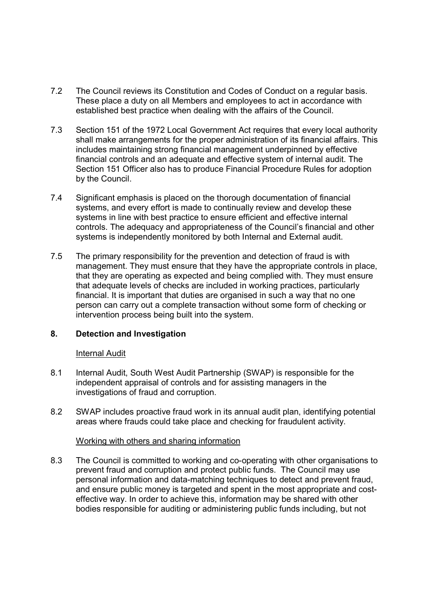- 7.2 The Council reviews its Constitution and Codes of Conduct on a regular basis. These place a duty on all Members and employees to act in accordance with established best practice when dealing with the affairs of the Council.
- 7.3 Section 151 of the 1972 Local Government Act requires that every local authority shall make arrangements for the proper administration of its financial affairs. This includes maintaining strong financial management underpinned by effective financial controls and an adequate and effective system of internal audit. The Section 151 Officer also has to produce Financial Procedure Rules for adoption by the Council.
- 7.4 Significant emphasis is placed on the thorough documentation of financial systems, and every effort is made to continually review and develop these systems in line with best practice to ensure efficient and effective internal controls. The adequacy and appropriateness of the Council's financial and other systems is independently monitored by both Internal and External audit.
- 7.5 The primary responsibility for the prevention and detection of fraud is with management. They must ensure that they have the appropriate controls in place, that they are operating as expected and being complied with. They must ensure that adequate levels of checks are included in working practices, particularly financial. It is important that duties are organised in such a way that no one person can carry out a complete transaction without some form of checking or intervention process being built into the system.

# 8. Detection and Investigation

#### Internal Audit

- 8.1 Internal Audit, South West Audit Partnership (SWAP) is responsible for the independent appraisal of controls and for assisting managers in the investigations of fraud and corruption.
- 8.2 SWAP includes proactive fraud work in its annual audit plan, identifying potential areas where frauds could take place and checking for fraudulent activity.

#### Working with others and sharing information

8.3 The Council is committed to working and co-operating with other organisations to prevent fraud and corruption and protect public funds. The Council may use personal information and data-matching techniques to detect and prevent fraud, and ensure public money is targeted and spent in the most appropriate and costeffective way. In order to achieve this, information may be shared with other bodies responsible for auditing or administering public funds including, but not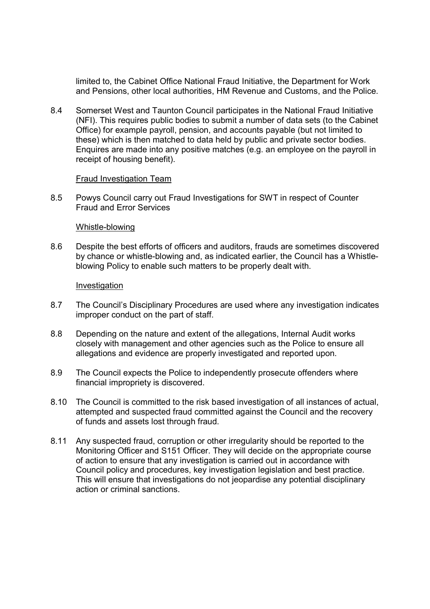limited to, the Cabinet Office National Fraud Initiative, the Department for Work and Pensions, other local authorities, HM Revenue and Customs, and the Police.

8.4 Somerset West and Taunton Council participates in the National Fraud Initiative (NFI). This requires public bodies to submit a number of data sets (to the Cabinet Office) for example payroll, pension, and accounts payable (but not limited to these) which is then matched to data held by public and private sector bodies. Enquires are made into any positive matches (e.g. an employee on the payroll in receipt of housing benefit).

#### Fraud Investigation Team

8.5 Powys Council carry out Fraud Investigations for SWT in respect of Counter Fraud and Error Services

#### Whistle-blowing

8.6 Despite the best efforts of officers and auditors, frauds are sometimes discovered by chance or whistle-blowing and, as indicated earlier, the Council has a Whistleblowing Policy to enable such matters to be properly dealt with.

#### Investigation

- 8.7 The Council's Disciplinary Procedures are used where any investigation indicates improper conduct on the part of staff.
- 8.8 Depending on the nature and extent of the allegations, Internal Audit works closely with management and other agencies such as the Police to ensure all allegations and evidence are properly investigated and reported upon.
- 8.9 The Council expects the Police to independently prosecute offenders where financial impropriety is discovered.
- 8.10 The Council is committed to the risk based investigation of all instances of actual, attempted and suspected fraud committed against the Council and the recovery of funds and assets lost through fraud.
- 8.11 Any suspected fraud, corruption or other irregularity should be reported to the Monitoring Officer and S151 Officer. They will decide on the appropriate course of action to ensure that any investigation is carried out in accordance with Council policy and procedures, key investigation legislation and best practice. This will ensure that investigations do not jeopardise any potential disciplinary action or criminal sanctions.